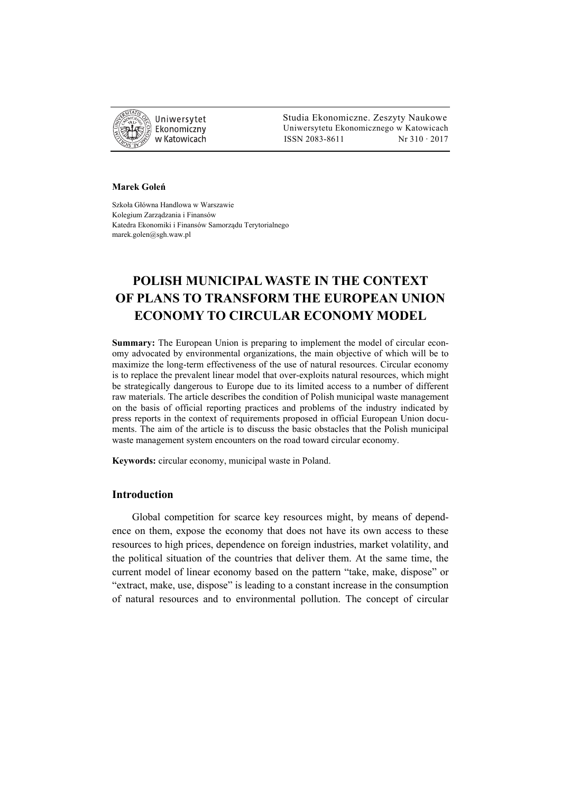

 Studia Ekonomiczne. Zeszyty Naukowe Ekonomiczny Uniwersytetu Ekonomicznego w Katowicach w Katowicach Matsus (ISSN 2083-8611 Nr 310 · 2017

#### **Marek Goleń**

Szkoła Główna Handlowa w Warszawie Kolegium Zarządzania i Finansów Katedra Ekonomiki i Finansów Samorządu Terytorialnego marek.golen@sgh.waw.pl

# **POLISH MUNICIPAL WASTE IN THE CONTEXT OF PLANS TO TRANSFORM THE EUROPEAN UNION ECONOMY TO CIRCULAR ECONOMY MODEL**

**Summary:** The European Union is preparing to implement the model of circular economy advocated by environmental organizations, the main objective of which will be to maximize the long-term effectiveness of the use of natural resources. Circular economy is to replace the prevalent linear model that over-exploits natural resources, which might be strategically dangerous to Europe due to its limited access to a number of different raw materials. The article describes the condition of Polish municipal waste management on the basis of official reporting practices and problems of the industry indicated by press reports in the context of requirements proposed in official European Union documents. The aim of the article is to discuss the basic obstacles that the Polish municipal waste management system encounters on the road toward circular economy.

**Keywords:** circular economy, municipal waste in Poland.

# **Introduction**

Global competition for scarce key resources might, by means of dependence on them, expose the economy that does not have its own access to these resources to high prices, dependence on foreign industries, market volatility, and the political situation of the countries that deliver them. At the same time, the current model of linear economy based on the pattern "take, make, dispose" or "extract, make, use, dispose" is leading to a constant increase in the consumption of natural resources and to environmental pollution. The concept of circular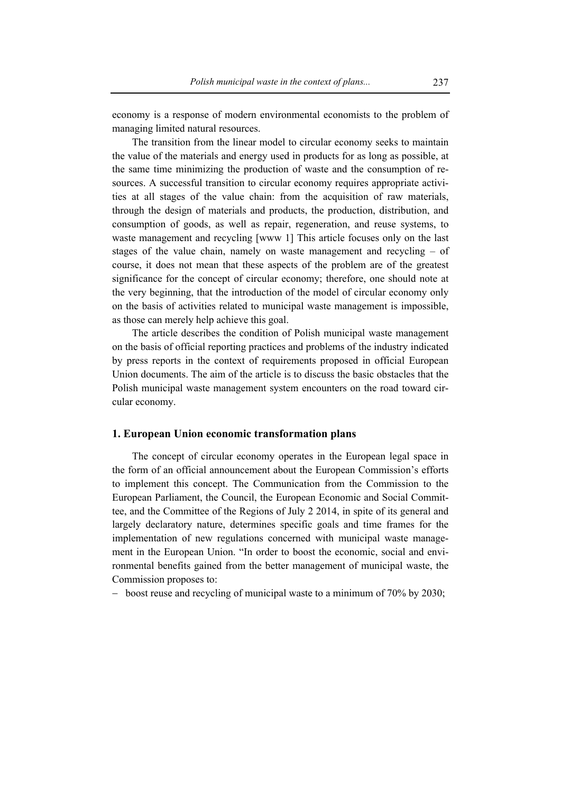economy is a response of modern environmental economists to the problem of managing limited natural resources.

The transition from the linear model to circular economy seeks to maintain the value of the materials and energy used in products for as long as possible, at the same time minimizing the production of waste and the consumption of resources. A successful transition to circular economy requires appropriate activities at all stages of the value chain: from the acquisition of raw materials, through the design of materials and products, the production, distribution, and consumption of goods, as well as repair, regeneration, and reuse systems, to waste management and recycling [www 1] This article focuses only on the last stages of the value chain, namely on waste management and recycling – of course, it does not mean that these aspects of the problem are of the greatest significance for the concept of circular economy; therefore, one should note at the very beginning, that the introduction of the model of circular economy only on the basis of activities related to municipal waste management is impossible, as those can merely help achieve this goal.

The article describes the condition of Polish municipal waste management on the basis of official reporting practices and problems of the industry indicated by press reports in the context of requirements proposed in official European Union documents. The aim of the article is to discuss the basic obstacles that the Polish municipal waste management system encounters on the road toward circular economy.

#### **1. European Union economic transformation plans**

The concept of circular economy operates in the European legal space in the form of an official announcement about the European Commission's efforts to implement this concept. The Communication from the Commission to the European Parliament, the Council, the European Economic and Social Committee, and the Committee of the Regions of July 2 2014, in spite of its general and largely declaratory nature, determines specific goals and time frames for the implementation of new regulations concerned with municipal waste management in the European Union. "In order to boost the economic, social and environmental benefits gained from the better management of municipal waste, the Commission proposes to:

− boost reuse and recycling of municipal waste to a minimum of 70% by 2030;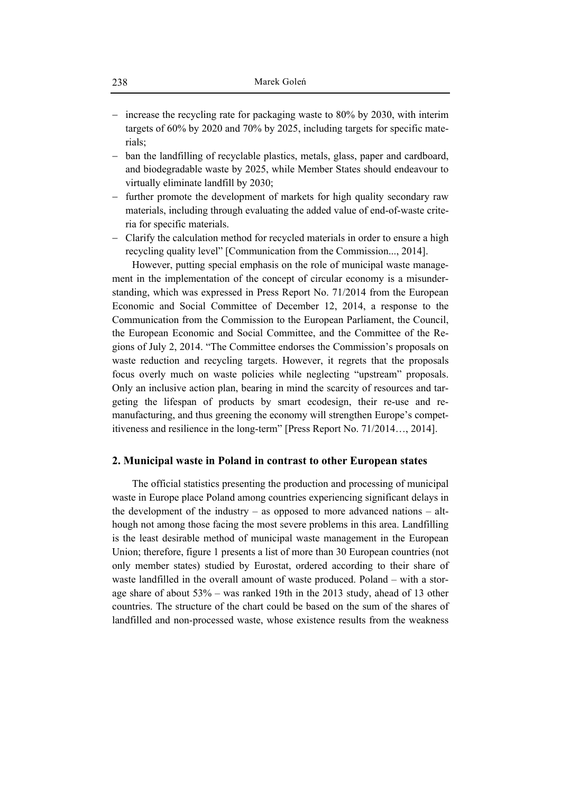- − increase the recycling rate for packaging waste to 80% by 2030, with interim targets of 60% by 2020 and 70% by 2025, including targets for specific materials;
- − ban the landfilling of recyclable plastics, metals, glass, paper and cardboard, and biodegradable waste by 2025, while Member States should endeavour to virtually eliminate landfill by 2030;
- − further promote the development of markets for high quality secondary raw materials, including through evaluating the added value of end-of-waste criteria for specific materials.
- − Clarify the calculation method for recycled materials in order to ensure a high recycling quality level" [Communication from the Commission..., 2014].

However, putting special emphasis on the role of municipal waste management in the implementation of the concept of circular economy is a misunderstanding, which was expressed in Press Report No. 71/2014 from the European Economic and Social Committee of December 12, 2014, a response to the Communication from the Commission to the European Parliament, the Council, the European Economic and Social Committee, and the Committee of the Regions of July 2, 2014. "The Committee endorses the Commission's proposals on waste reduction and recycling targets. However, it regrets that the proposals focus overly much on waste policies while neglecting "upstream" proposals. Only an inclusive action plan, bearing in mind the scarcity of resources and targeting the lifespan of products by smart ecodesign, their re-use and remanufacturing, and thus greening the economy will strengthen Europe's competitiveness and resilience in the long-term" [Press Report No. 71/2014…, 2014].

# **2. Municipal waste in Poland in contrast to other European states**

The official statistics presenting the production and processing of municipal waste in Europe place Poland among countries experiencing significant delays in the development of the industry – as opposed to more advanced nations – although not among those facing the most severe problems in this area. Landfilling is the least desirable method of municipal waste management in the European Union; therefore, figure 1 presents a list of more than 30 European countries (not only member states) studied by Eurostat, ordered according to their share of waste landfilled in the overall amount of waste produced. Poland – with a storage share of about 53% – was ranked 19th in the 2013 study, ahead of 13 other countries. The structure of the chart could be based on the sum of the shares of landfilled and non-processed waste, whose existence results from the weakness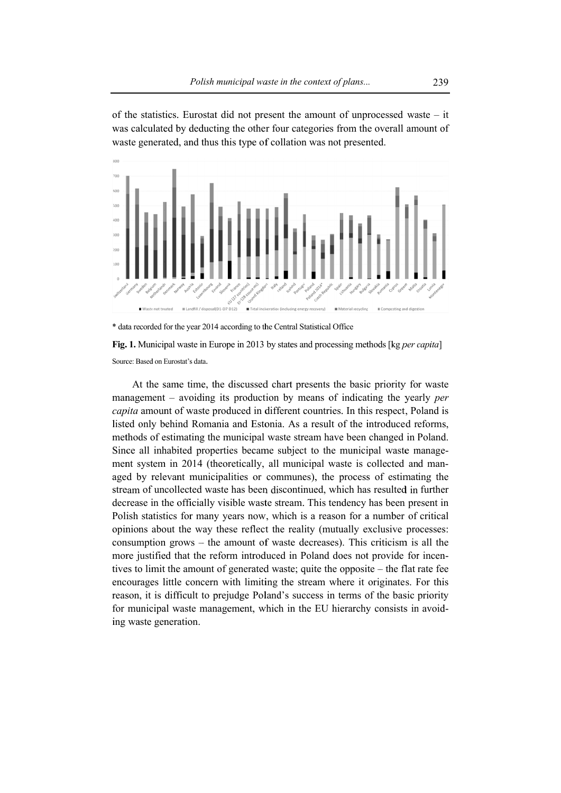of the statistics. Eurostat did not present the amount of unprocessed waste  $-$  it was calculated by deducting the other four categories from the overall amount of waste generated, and thus this type of collation was not presented.



\* data recorded for the year 2014 according to the Central Statistical Office

Fig. 1. Municipal waste in Europe in 2013 by states and processing methods [kg *per capita*] Source: Based on Eurostat's data.

management – avoiding its production by means of indicating the yearly per capita amount of waste produced in different countries. In this respect, Poland is listed only behind Romania and Estonia. As a result of the introduced reforms, methods of estimating the municipal waste stream have been changed in Poland. Since all inhabited properties became subject to the municipal waste management system in 2014 (theoretically, all municipal waste is collected and managed by relevant municipalities or communes), the process of estimating the stream of uncollected waste has been discontinued, which has resulted in further decrease in the officially visible waste stream. This tendency has been present in Polish statistics for many years now, which is a reason for a number of critical opinions about the way these reflect the reality (mutually exclusive processes: consumption grows – the amount of waste decreases). This criticism is all the more justified that the reform introduced in Poland does not provide for incentives to limit the amount of generated waste; quite the opposite – the flat rate fee encourages little concern with limiting the stream where it originates. For this reason, it is difficult to prejudge Poland's success in terms of the basic priority for municipal waste management, which in the EU hierarchy consists in avoiding waste generation. At the same time, the discussed chart presents the basic priority for waste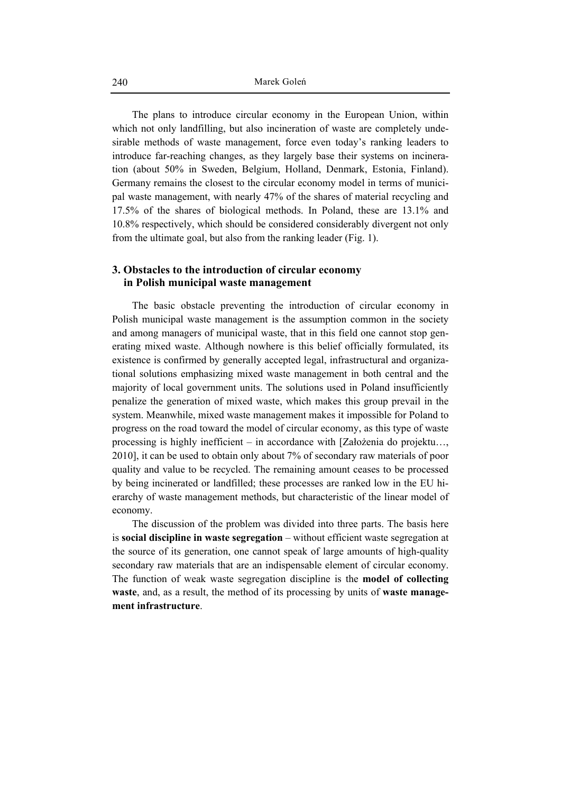The plans to introduce circular economy in the European Union, within which not only landfilling, but also incineration of waste are completely undesirable methods of waste management, force even today's ranking leaders to introduce far-reaching changes, as they largely base their systems on incineration (about 50% in Sweden, Belgium, Holland, Denmark, Estonia, Finland). Germany remains the closest to the circular economy model in terms of municipal waste management, with nearly 47% of the shares of material recycling and 17.5% of the shares of biological methods. In Poland, these are 13.1% and 10.8% respectively, which should be considered considerably divergent not only from the ultimate goal, but also from the ranking leader (Fig. 1).

# **3. Obstacles to the introduction of circular economy in Polish municipal waste management**

The basic obstacle preventing the introduction of circular economy in Polish municipal waste management is the assumption common in the society and among managers of municipal waste, that in this field one cannot stop generating mixed waste. Although nowhere is this belief officially formulated, its existence is confirmed by generally accepted legal, infrastructural and organizational solutions emphasizing mixed waste management in both central and the majority of local government units. The solutions used in Poland insufficiently penalize the generation of mixed waste, which makes this group prevail in the system. Meanwhile, mixed waste management makes it impossible for Poland to progress on the road toward the model of circular economy, as this type of waste processing is highly inefficient – in accordance with [Założenia do projektu…, 2010], it can be used to obtain only about 7% of secondary raw materials of poor quality and value to be recycled. The remaining amount ceases to be processed by being incinerated or landfilled; these processes are ranked low in the EU hierarchy of waste management methods, but characteristic of the linear model of economy.

The discussion of the problem was divided into three parts. The basis here is **social discipline in waste segregation** – without efficient waste segregation at the source of its generation, one cannot speak of large amounts of high-quality secondary raw materials that are an indispensable element of circular economy. The function of weak waste segregation discipline is the **model of collecting waste**, and, as a result, the method of its processing by units of **waste management infrastructure**.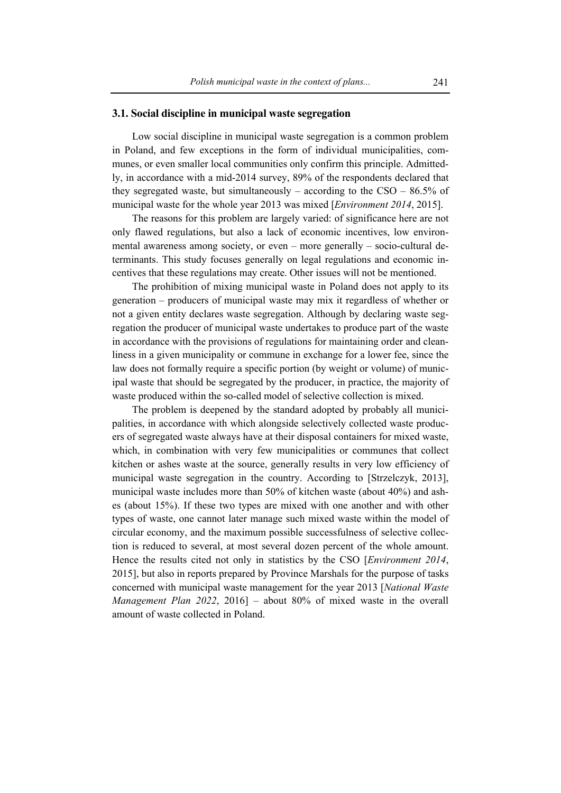#### **3.1. Social discipline in municipal waste segregation**

Low social discipline in municipal waste segregation is a common problem in Poland, and few exceptions in the form of individual municipalities, communes, or even smaller local communities only confirm this principle. Admittedly, in accordance with a mid-2014 survey, 89% of the respondents declared that they segregated waste, but simultaneously – according to the  $CSO - 86.5\%$  of municipal waste for the whole year 2013 was mixed [*Environment 2014*, 2015].

The reasons for this problem are largely varied: of significance here are not only flawed regulations, but also a lack of economic incentives, low environmental awareness among society, or even – more generally – socio-cultural determinants. This study focuses generally on legal regulations and economic incentives that these regulations may create. Other issues will not be mentioned.

The prohibition of mixing municipal waste in Poland does not apply to its generation – producers of municipal waste may mix it regardless of whether or not a given entity declares waste segregation. Although by declaring waste segregation the producer of municipal waste undertakes to produce part of the waste in accordance with the provisions of regulations for maintaining order and cleanliness in a given municipality or commune in exchange for a lower fee, since the law does not formally require a specific portion (by weight or volume) of municipal waste that should be segregated by the producer, in practice, the majority of waste produced within the so-called model of selective collection is mixed.

The problem is deepened by the standard adopted by probably all municipalities, in accordance with which alongside selectively collected waste producers of segregated waste always have at their disposal containers for mixed waste, which, in combination with very few municipalities or communes that collect kitchen or ashes waste at the source, generally results in very low efficiency of municipal waste segregation in the country. According to [Strzelczyk, 2013], municipal waste includes more than 50% of kitchen waste (about 40%) and ashes (about 15%). If these two types are mixed with one another and with other types of waste, one cannot later manage such mixed waste within the model of circular economy, and the maximum possible successfulness of selective collection is reduced to several, at most several dozen percent of the whole amount. Hence the results cited not only in statistics by the CSO [*Environment 2014*, 2015], but also in reports prepared by Province Marshals for the purpose of tasks concerned with municipal waste management for the year 2013 [*National Waste Management Plan 2022*, 2016] – about 80% of mixed waste in the overall amount of waste collected in Poland.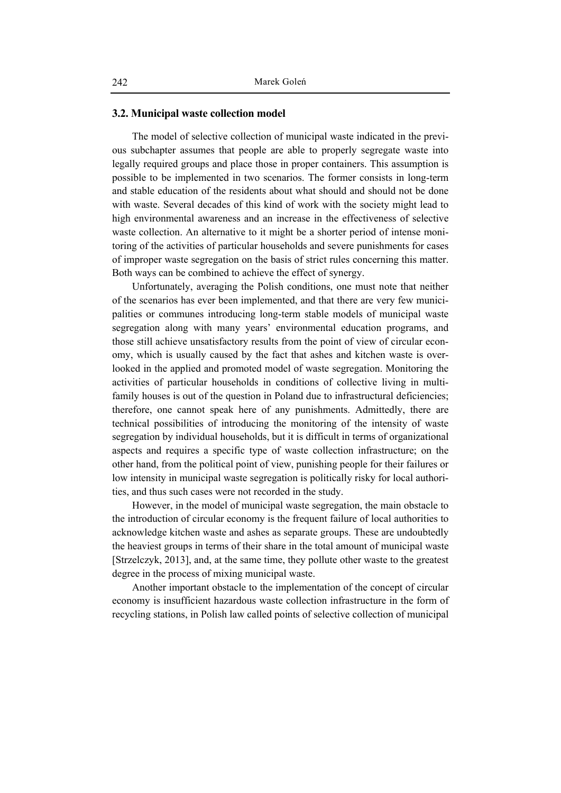#### **3.2. Municipal waste collection model**

The model of selective collection of municipal waste indicated in the previous subchapter assumes that people are able to properly segregate waste into legally required groups and place those in proper containers. This assumption is possible to be implemented in two scenarios. The former consists in long-term and stable education of the residents about what should and should not be done with waste. Several decades of this kind of work with the society might lead to high environmental awareness and an increase in the effectiveness of selective waste collection. An alternative to it might be a shorter period of intense monitoring of the activities of particular households and severe punishments for cases of improper waste segregation on the basis of strict rules concerning this matter. Both ways can be combined to achieve the effect of synergy.

Unfortunately, averaging the Polish conditions, one must note that neither of the scenarios has ever been implemented, and that there are very few municipalities or communes introducing long-term stable models of municipal waste segregation along with many years' environmental education programs, and those still achieve unsatisfactory results from the point of view of circular economy, which is usually caused by the fact that ashes and kitchen waste is overlooked in the applied and promoted model of waste segregation. Monitoring the activities of particular households in conditions of collective living in multifamily houses is out of the question in Poland due to infrastructural deficiencies; therefore, one cannot speak here of any punishments. Admittedly, there are technical possibilities of introducing the monitoring of the intensity of waste segregation by individual households, but it is difficult in terms of organizational aspects and requires a specific type of waste collection infrastructure; on the other hand, from the political point of view, punishing people for their failures or low intensity in municipal waste segregation is politically risky for local authorities, and thus such cases were not recorded in the study.

However, in the model of municipal waste segregation, the main obstacle to the introduction of circular economy is the frequent failure of local authorities to acknowledge kitchen waste and ashes as separate groups. These are undoubtedly the heaviest groups in terms of their share in the total amount of municipal waste [Strzelczyk, 2013], and, at the same time, they pollute other waste to the greatest degree in the process of mixing municipal waste.

Another important obstacle to the implementation of the concept of circular economy is insufficient hazardous waste collection infrastructure in the form of recycling stations, in Polish law called points of selective collection of municipal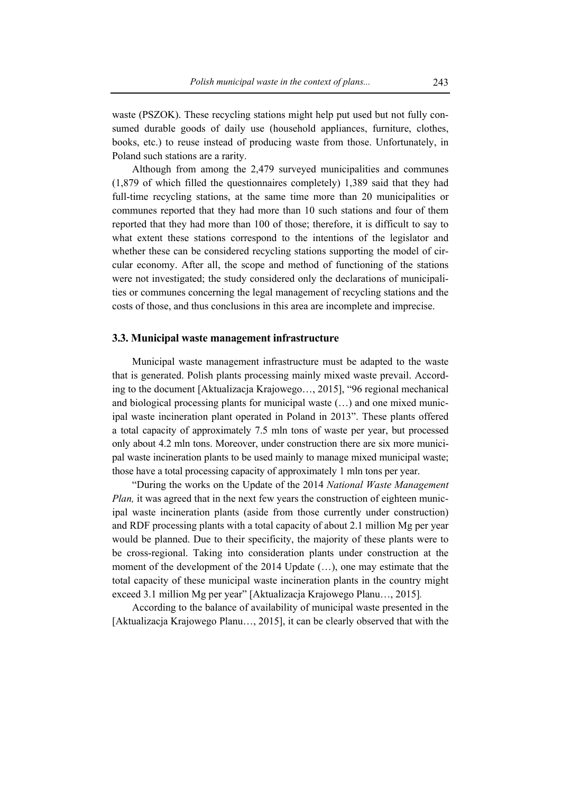waste (PSZOK). These recycling stations might help put used but not fully consumed durable goods of daily use (household appliances, furniture, clothes, books, etc.) to reuse instead of producing waste from those. Unfortunately, in Poland such stations are a rarity.

Although from among the 2,479 surveyed municipalities and communes (1,879 of which filled the questionnaires completely) 1,389 said that they had full-time recycling stations, at the same time more than 20 municipalities or communes reported that they had more than 10 such stations and four of them reported that they had more than 100 of those; therefore, it is difficult to say to what extent these stations correspond to the intentions of the legislator and whether these can be considered recycling stations supporting the model of circular economy. After all, the scope and method of functioning of the stations were not investigated; the study considered only the declarations of municipalities or communes concerning the legal management of recycling stations and the costs of those, and thus conclusions in this area are incomplete and imprecise.

# **3.3. Municipal waste management infrastructure**

Municipal waste management infrastructure must be adapted to the waste that is generated. Polish plants processing mainly mixed waste prevail. According to the document [Aktualizacja Krajowego…, 2015], "96 regional mechanical and biological processing plants for municipal waste (…) and one mixed municipal waste incineration plant operated in Poland in 2013". These plants offered a total capacity of approximately 7.5 mln tons of waste per year, but processed only about 4.2 mln tons. Moreover, under construction there are six more municipal waste incineration plants to be used mainly to manage mixed municipal waste; those have a total processing capacity of approximately 1 mln tons per year.

"During the works on the Update of the 2014 *National Waste Management Plan,* it was agreed that in the next few years the construction of eighteen municipal waste incineration plants (aside from those currently under construction) and RDF processing plants with a total capacity of about 2.1 million Mg per year would be planned. Due to their specificity, the majority of these plants were to be cross-regional. Taking into consideration plants under construction at the moment of the development of the 2014 Update (…), one may estimate that the total capacity of these municipal waste incineration plants in the country might exceed 3.1 million Mg per year" [Aktualizacja Krajowego Planu…, 2015]*.* 

According to the balance of availability of municipal waste presented in the [Aktualizacja Krajowego Planu…, 2015], it can be clearly observed that with the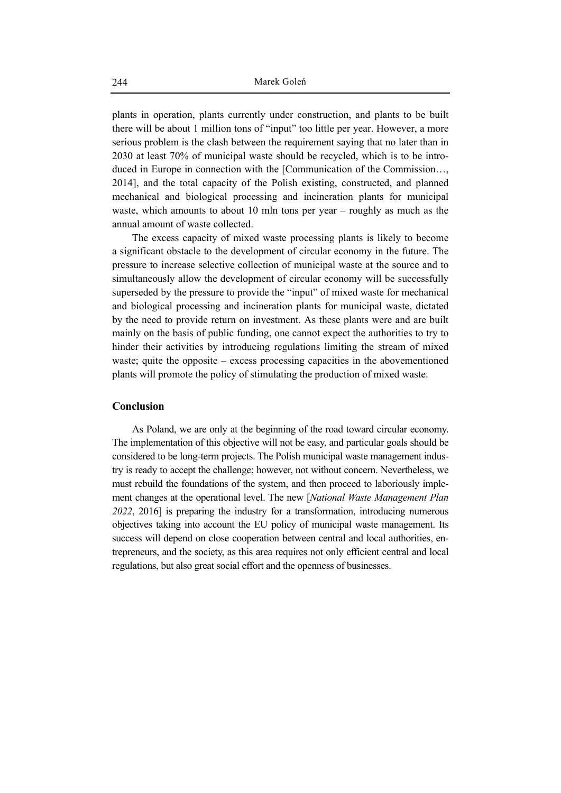plants in operation, plants currently under construction, and plants to be built there will be about 1 million tons of "input" too little per year. However, a more serious problem is the clash between the requirement saying that no later than in 2030 at least 70% of municipal waste should be recycled, which is to be introduced in Europe in connection with the [Communication of the Commission…, 2014], and the total capacity of the Polish existing, constructed, and planned mechanical and biological processing and incineration plants for municipal waste, which amounts to about 10 mln tons per year – roughly as much as the annual amount of waste collected.

The excess capacity of mixed waste processing plants is likely to become a significant obstacle to the development of circular economy in the future. The pressure to increase selective collection of municipal waste at the source and to simultaneously allow the development of circular economy will be successfully superseded by the pressure to provide the "input" of mixed waste for mechanical and biological processing and incineration plants for municipal waste, dictated by the need to provide return on investment. As these plants were and are built mainly on the basis of public funding, one cannot expect the authorities to try to hinder their activities by introducing regulations limiting the stream of mixed waste; quite the opposite – excess processing capacities in the abovementioned plants will promote the policy of stimulating the production of mixed waste.

# **Conclusion**

As Poland, we are only at the beginning of the road toward circular economy. The implementation of this objective will not be easy, and particular goals should be considered to be long-term projects. The Polish municipal waste management industry is ready to accept the challenge; however, not without concern. Nevertheless, we must rebuild the foundations of the system, and then proceed to laboriously implement changes at the operational level. The new [*National Waste Management Plan 2022*, 2016] is preparing the industry for a transformation, introducing numerous objectives taking into account the EU policy of municipal waste management. Its success will depend on close cooperation between central and local authorities, entrepreneurs, and the society, as this area requires not only efficient central and local regulations, but also great social effort and the openness of businesses.